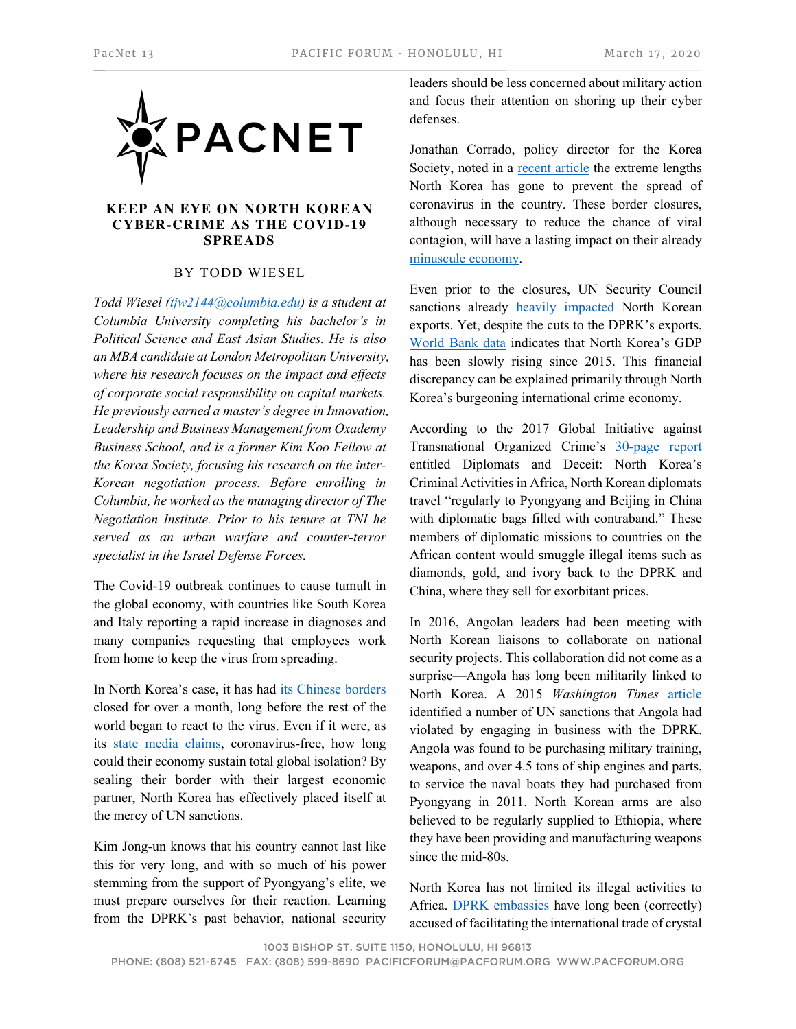

## **KEEP AN EYE ON NORTH KOREAN CYBER-CRIME AS THE COVID-19 SPREADS**

## BY TODD WIESEL

*Todd Wiesel (tjw2144@columbia.edu) is a student at Columbia University completing his bachelor's in Political Science and East Asian Studies. He is also an MBA candidate at London Metropolitan University, where his research focuses on the impact and effects of corporate social responsibility on capital markets. He previously earned a master's degree in Innovation, Leadership and Business Management from Oxademy Business School, and is a former Kim Koo Fellow at the Korea Society, focusing his research on the inter-Korean negotiation process. Before enrolling in Columbia, he worked as the managing director of The Negotiation Institute. Prior to his tenure at TNI he served as an urban warfare and counter-terror specialist in the Israel Defense Forces.*

The Covid-19 outbreak continues to cause tumult in the global economy, with countries like South Korea and Italy reporting a rapid increase in diagnoses and many companies requesting that employees work from home to keep the virus from spreading.

In North Korea's case, it has had its Chinese borders closed for over a month, long before the rest of the world began to react to the virus. Even if it were, as its state media claims, coronavirus-free, how long could their economy sustain total global isolation? By sealing their border with their largest economic partner, North Korea has effectively placed itself at the mercy of UN sanctions.

Kim Jong-un knows that his country cannot last like this for very long, and with so much of his power stemming from the support of Pyongyang's elite, we must prepare ourselves for their reaction. Learning from the DPRK's past behavior, national security

leaders should be less concerned about military action and focus their attention on shoring up their cyber defenses.

Jonathan Corrado, policy director for the Korea Society, noted in a recent article the extreme lengths North Korea has gone to prevent the spread of coronavirus in the country. These border closures, although necessary to reduce the chance of viral contagion, will have a lasting impact on their already minuscule economy.

Even prior to the closures, UN Security Council sanctions already **heavily** impacted North Korean exports. Yet, despite the cuts to the DPRK's exports, World Bank data indicates that North Korea's GDP has been slowly rising since 2015. This financial discrepancy can be explained primarily through North Korea's burgeoning international crime economy.

According to the 2017 Global Initiative against Transnational Organized Crime's 30-page report entitled Diplomats and Deceit: North Korea's Criminal Activities in Africa, North Korean diplomats travel "regularly to Pyongyang and Beijing in China with diplomatic bags filled with contraband." These members of diplomatic missions to countries on the African content would smuggle illegal items such as diamonds, gold, and ivory back to the DPRK and China, where they sell for exorbitant prices.

In 2016, Angolan leaders had been meeting with North Korean liaisons to collaborate on national security projects. This collaboration did not come as a surprise—Angola has long been militarily linked to North Korea. A 2015 *Washington Times* article identified a number of UN sanctions that Angola had violated by engaging in business with the DPRK. Angola was found to be purchasing military training, weapons, and over 4.5 tons of ship engines and parts, to service the naval boats they had purchased from Pyongyang in 2011. North Korean arms are also believed to be regularly supplied to Ethiopia, where they have been providing and manufacturing weapons since the mid-80s.

North Korea has not limited its illegal activities to Africa. DPRK embassies have long been (correctly) accused of facilitating the international trade of crystal